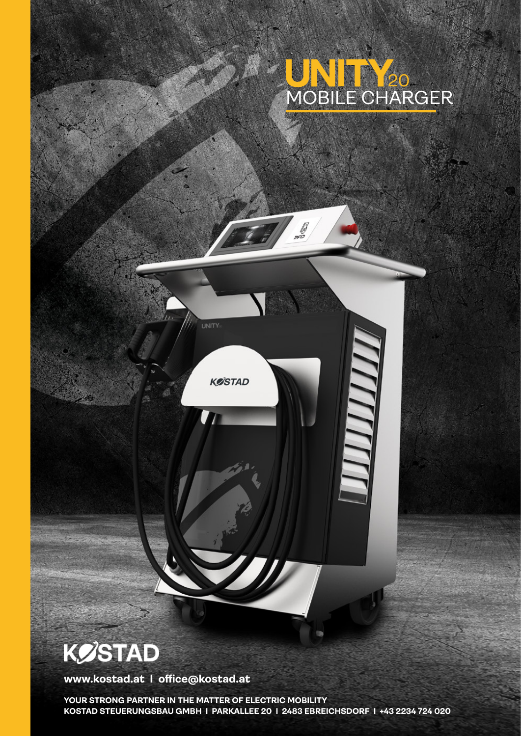

ШШ

**UNITY:** 

**KØSTAD** 

## **KØSTAD**

**www.kostad.at I office@kostad.at**

**YOUR STRONG PARTNER IN THE MATTER OF ELECTRIC MOBILITY KOSTAD STEUERUNGSBAU GMBH I PARKALLEE 20 I 2483 EBREICHSDORF I +43 2234 724 020**